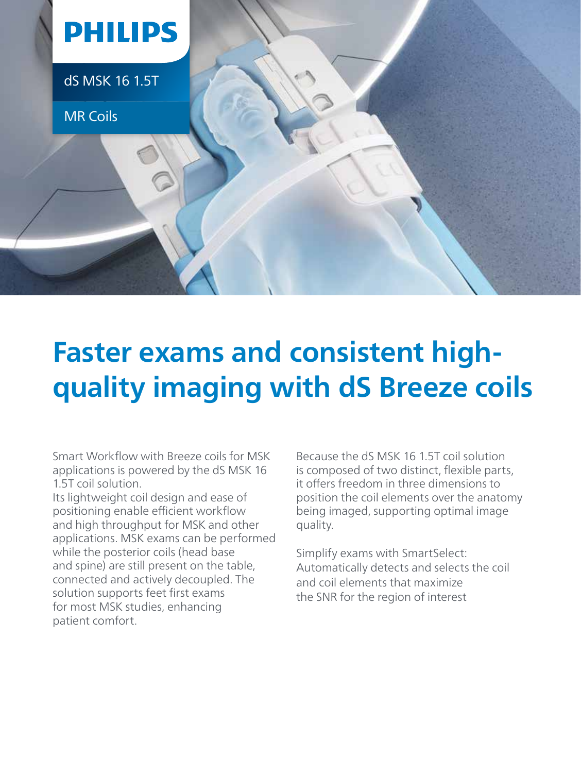

## **Faster exams and consistent highquality imaging with dS Breeze coils**

Smart Workflow with Breeze coils for MSK applications is powered by the dS MSK 16 1.5T coil solution.

Its lightweight coil design and ease of positioning enable efficient workflow and high throughput for MSK and other applications. MSK exams can be performed while the posterior coils (head base and spine) are still present on the table, connected and actively decoupled. The solution supports feet first exams for most MSK studies, enhancing patient comfort.

Because the dS MSK 16.1.5T coil solution is composed of two distinct, flexible parts, it offers freedom in three dimensions to position the coil elements over the anatomy being imaged, supporting optimal image quality.

Simplify exams with SmartSelect: Automatically detects and selects the coil and coil elements that maximize the SNR for the region of interest